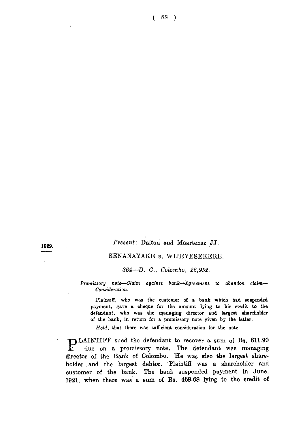# **1929.** *Present:* Dalton and Maartensz JJ.

## SENANAYAKE *v.* WIJEYESEKERE.

### *364*— *D. C., Colombo, 26,952.*

*Promissory note—Claim against bank—Agreement to abandon claim*— *Consideration.*

Plaintiff, who was the customer of a bank which had suspended payment, gave a cheque for the amount lying to his credit to the defendant, who -was the managing director and largest shareholder of the bank, in return for a promissory note given by the latter.

*Held,* that there was sufficient consideration for the note.

**PLAINTIFF** sued the defendant to recover a sum of Rs. 611.99 due on a promissory note. The defendant was managing lirector of the Bank of Colombo. He was also the largest share-<br>nolder and the largest debtor. Plaintiff wa due on a promissory note. The defendant was managing director of the Bank of Colombo. He was also the largest shareholder and the largest debtor. Plaintiff was a shareholder and customer of the bank. The bank suspended payment in June, 1921, when there was a sum of Rs. 468.68 lying to the credit of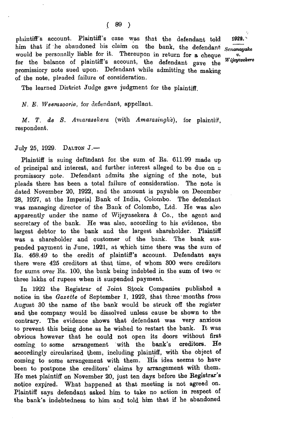plaintiff's account. Plaintiff's case was that- the defendant told him that if he abandoned his claim on the bank, the defendant *Senanayake* would be personally liable for it. Thereupon in return for a cheque for the balance of plaintiff's account, the defendant gave the promissiory note sued upon. Defendant while admitting the making of the note, pleaded failure of consideration.

*v. Wijeyesekere* 1929. '

The learned District Judge gave judgment for the plaintiff.

*N. E. Weerasooria,* for defendant, appellant.

*M. T. de S. Amarasekera* (with *Amarasinghe),* for plaintiff, respondent.

July 25, 1929. DALTON  $J$ -

Plaintiff is suing deftndant for the sum of Rs. 611.99 made up of principal and interest, and further interest alleged to be due on a promissory note. Defendant admits the signing of the note, but pleads there has been a total failure of consideration. The note is dated November 20, 1922, and the amount is payable on December 28, 1927, at the Imperial Bank of India, Colombo. The defendant was managing director of the Bank of Colombo, Ltd. He was also apparently under the name of Wijeyasekera & Co., the agent and secretary of the bank. He was also, according to his evidence, the largest debtor to the bank and the largest shareholder. Plaintiff was a shareholder and customer of the bank. The bank suspended payment in June, 1921, at which time there was the sum of Rs. 468.49 to the credit of plaintiff's account. Defendant says there were 425 creditors at that time, of whom 300 were creditors for sums over Rs. 100, the bank being indebted in the sum of two or three lakhs of rupees when it suspended payment.

In 1922 the Registrar of Joint Stock Companies published a notice in the *Gazette* of September 1, 1922, that three months from August 30 the name of the bank would be struck off the register and the company would be dissolved unless cause be shown to the contrary. The evidence shows that defendant was very anxious to prevent this being done as he wished to restart the bank. It was obvious however that he could not open its doors without first coming, to some arrangement with the bank's creditors. He accordingly circularized them, including plaintiff, with the object of coming to some arrangement with them. His idea seems to have been to postpone the creditors' claims by arrangement with them. He met plaintiff on November 20, just ten days before the Registrar's notice expired. What happened at that meeting is not agreed on. Plaintiff says defendant asked him to take no action in respect of the bank's indebtedness to him and told him that if he abandoned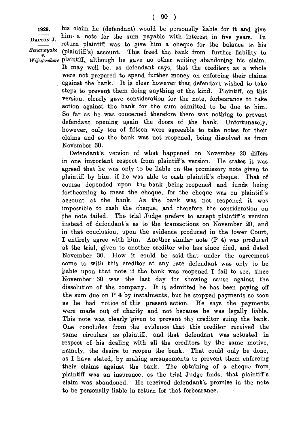**1929. his claim he (defendant) .would be personally liable for it and give** DALTON J. him a note for the sum payable with interest in five years. In  $\frac{1}{2}$ . return plaintiff was to give him a cheque for the balance to his *Senanayake* (plaintiff's) account. This freed the bank from further lightlity to *nayake* (plaintiff's) account. This freed the bank from further liability to *Wijayesekere* plaintiff,, although he gave no other writing abandoning his claim.

> It may well be, as defendant says, that the creditors as a whole were not prepared to spend further money on enforcing their claims . against the bank. It is clear however that, defendant wished to take steps to prevent them doing anything of the kind. Plaintiff, on this version, clearly gave consideration for the note, forbearance to take action against the bank for the sum admitted to be due to him. So far as he was concerned therefore there was nothing to prevent defendant opening again the doors of the bank. Unfortunately, however, only ten of fifteen were agreeable to take notes for their claims and so the bank was not. reopened, being dissolved as from November 30.

Defendant's version of what happened on November 20 differs in one important respect from plaintiff's version. He states it was agreed that he was only to be liable on the promissory note given to plaintiff by him, if he was able to cash plaintiff's cheque. That of course depended upon the bank being reopened and funds being forthcoming to meet the cheque, for the cheque was on plaintiff's account at the bank. As the bank was not reopened it was •impossible to cash the cheque, and therefore the consideration on the note failed. The trial Judge prefers to accept plaintiff's version instead of defendant's as to the transactions on November 20, and in that conclusion, upon the evidence produced in the lower Court, I entirely agree with him. Another similar note (P 4) was produced at the trial, given to another creditor who has since died, and dated November 30. How it could be said that under the agreement come to with this creditor at any rate defendant was only to be liable upon that note if the bank was reopened I fail to see, since November 30 was the last day for showing cause against the dissolution of the company. It is admitted he has been paying off the sum due on P 4 by instalments, but he stopped payments so soon as he had notice of this present action. He says the payments were made out of charity and not because he was legally liable. This note was clearly given to prevent the creditor suing the bank. One concludes from the evidence that this creditor received the same circulars as plaintiff, and that defendant was actuated in respect of his dealing with all the creditors by the same motive, namely, the desire to reopen the bank. That could only be done, as I have stated, by making arrangements to prevent them enforcing their claims against the bank. The obtaining of a cheque from plaintiff was an insurance, as the trial Judge finds, that plaintiff's claim was abandoned. He received defendant's promise in the note to be personally liable in return for that forbearance.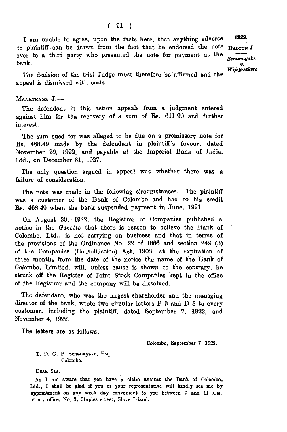I am unable to agree, upon the facts here, that anything adverse to plaintiff can be drawn from the fact that he endorsed the note  $\mathbf{_{DALTON}}$  J. over to a third party who presented the note for payment at the bank.

*Senanayake v. Wijeyesehere* 1929.

The decision of the trial Judge must therefore be'affirmed and the appeal is dismissed with costs.

#### MAARTENSZ J.-

The defendant in this action appeals from a judgment entered against him for the recovery of a sum of Rs. 611.99 and further interest.

The sum sued for was alleged to be due on a promissory note for Rs. 468.49 made by the defendant in plaintiff's favour, dated November 20, 1922, and payable at the Imperial Bank of India, Ltd., on December 31, 1927.

The only question argued in appeal was whether there was a failure of consideration.

The note was made in the following circumstances. The plaintiff was a customer of the Bank of Colombo and had to his credit Rs. 468.49 when the bank suspended payment in June, 1921.

On August 30, • 1922, the Registrar of Companies published a notice in the *Gazette* that there is reason to believe the Bank of Colombo, Ltd., is not carrying on business and that in terms of the provisions of the Ordinance No. 22 of 1866 and section 242 (3) of the Companies (Consolidation) Apt, 1908, at the expiration of three months from the date of the notice the name of the Bank of Colombo, Limited, will, unless cause is shown to the contrary, be struck off the Register of Joint Stock Companies kept in the office of the Registrar and the company will be dissolved.

The defendant, who was the largest shareholder and the managing director of the bank, wrote two circular letters P 3 and D 3 to every customer, including the plaintiff, dated September 7, 1922, and November 4, 1922.

The letters are as follows: —

Colombo, September 7, 1922.

T. D. G. P. Senanayake, Esq. Colombo.

DEAR SIR,

As I am aware that yon have a claim against the Bank of Colombo, Ltd., I shall be glad if yon or your representative will kindly see me by appointment on any week day convenient to you between 9 and 11 A.M. at my office, No. 3, Staples street, Slave Island.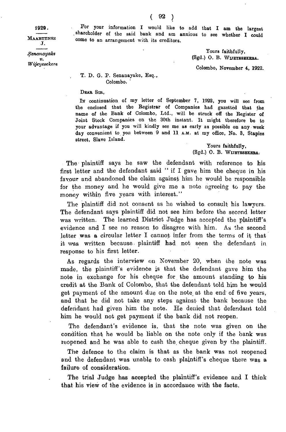1929.

**MAARTENSZ**  $\bf J$  .

*S e n a n a y a k t v . W ij e y e e e k e r e*

For your information I would like to add that I am the largest shareholder of the said bank and am anxious to see whether I could come to an arrangement with its creditors.

> Yours faithfully, (Sgd.) O. B. WUEYESEKEBA.

Colombo, November 4, 1922.

#### T. D. G. P. Senanayake, Esq., Colombo.

DEAR SIR.

In continuation of my letter of September 7, 1922, you will see from the enclosed that the Registrar of Companies had gazetted that the name of the Bank of Colombo, Ltd., will be struck off the Register of Joint Stock Companies on the 30th instant. It might therefore be to your advantage if you will kindly see me as early as possible on any week day convenient to you between 9 and 11 A.M. at my office, No. 3, Staples street, Slave Island.

> Yours faithfully, (Sgd.) O. B. WIJBYESBKERA:

The plaintiff says he saw the defendant with reference to his first letter and the defendant said " if I gave him the cheque in his favour and abandoned the claim against him he would be responsible for the money and he would give me a note agreeing to pay the money within five years with interest."

The plaintiff did not consent as he wished to consult his lawyers. The defendant says plaintiff did not see him before the second letter was written. The learned District Judge has accepted the plaintiff's evidence and I see no reason to disagree with him. As the second letter was a circular letter I cannot infer from the terms of it that it was written because, plaintiff had not seen the defendant in response to his first letter.

As regards the interview on November 20, when the note was made, the plaintiff's evidence is that the defendant gave him the note in exchange for his cheque for the amount standing to his credit at the Bank of Colombo, that the defendant told him he would get payment of the amount due on the note at the end of five years, and that he did not take any steps against the bank because the defendant had given him the note. He denied that defendant told him he would not get payment if the bank did not reopen.

The defendant's evidence is, that the note was given on the condition that he would be liable on the note only if the bank was reopened and he was able to cash the cheque given by the plaintiff.

The defence to the claim is that as the bank was not reopened and the defendant was unable to cash plaintiff's cheque there was a failure of consideration.

The trial Judge has accepted the plaintiff's evidence and I think that his view of the evidence is in accordance with the facts.